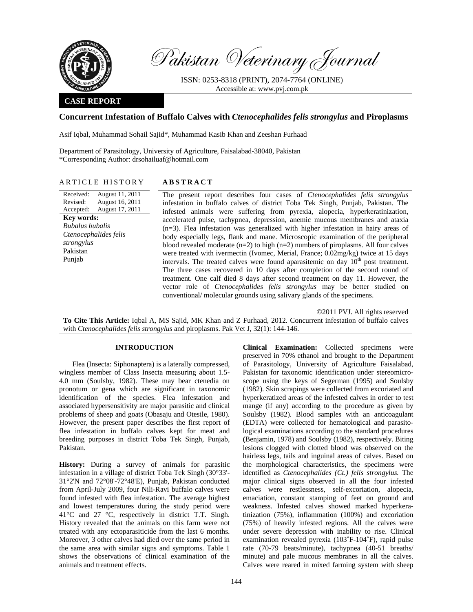

Pakistan Veterinary Journal

ISSN: 0253-8318 (PRINT), 2074-7764 (ONLINE) Accessible at: www.pvj.com.pk

## **CASE REPORT**

# **Concurrent Infestation of Buffalo Calves with** *Ctenocephalides felis strongylus* **and Piroplasms**

Asif Iqbal, Muhammad Sohail Sajid\*, Muhammad Kasib Khan and Zeeshan Furhaad

Department of Parasitology, University of Agriculture, Faisalabad-38040, Pakistan \*Corresponding Author: drsohailuaf@hotmail.com

# ARTICLE HISTORY **ABSTRACT**

Received: Revised: Accepted: August 11, 2011 August 16, 2011 August 17, 2011 **Key words:**  *Bubalus bubalis Ctenocephalides felis strongylus*  Pakistan Punjab

The present report describes four cases of *Ctenocephalides felis strongylus* infestation in buffalo calves of district Toba Tek Singh, Punjab, Pakistan. The infested animals were suffering from pyrexia, alopecia, hyperkeratinization, accelerated pulse, tachypnea, depression, anemic mucous membranes and ataxia (n=3). Flea infestation was generalized with higher infestation in hairy areas of body especially legs, flank and mane. Microscopic examination of the peripheral blood revealed moderate  $(n=2)$  to high  $(n=2)$  numbers of piroplasms. All four calves were treated with ivermectin (Ivomec, Merial, France; 0.02mg/kg) twice at 15 days intervals. The treated calves were found aparasitemic on day  $10<sup>th</sup>$  post treatment. The three cases recovered in 10 days after completion of the second round of treatment. One calf died 8 days after second treatment on day 11. However, the vector role of *Ctenocephalides felis strongylus* may be better studied on conventional/ molecular grounds using salivary glands of the specimens.

©2011 PVJ. All rights reserved

**To Cite This Article:** Iqbal A, MS Sajid, MK Khan and Z Furhaad, 2012. Concurrent infestation of buffalo calves with *Ctenocephalides felis strongylus* and piroplasms. Pak Vet J, 32(1): 144-146.

## **INTRODUCTION**

Flea (Insecta: Siphonaptera) is a laterally compressed, wingless member of Class Insecta measuring about 1.5- 4.0 mm (Soulsby, 1982). These may bear ctenedia on pronotum or gena which are significant in taxonomic identification of the species. Flea infestation and associated hypersensitivity are major parasitic and clinical problems of sheep and goats (Obasaju and Otesile, 1980). However, the present paper describes the first report of flea infestation in buffalo calves kept for meat and breeding purposes in district Toba Tek Singh, Punjab, Pakistan.

**History:** During a survey of animals for parasitic infestation in a village of district Toba Tek Singh (30°33'- 31°2'N and 72°08'-72°48'E), Punjab, Pakistan conducted from April-July 2009, four Nili-Ravi buffalo calves were found infested with flea infestation. The average highest and lowest temperatures during the study period were 41°C and 27 °C, respectively in district T.T. Singh. History revealed that the animals on this farm were not treated with any ectoparasiticide from the last 6 months. Moreover, 3 other calves had died over the same period in the same area with similar signs and symptoms. Table 1 shows the observations of clinical examination of the animals and treatment effects.

**Clinical Examination:** Collected specimens were preserved in 70% ethanol and brought to the Department of Parasitology, University of Agriculture Faisalabad, Pakistan for taxonomic identification under stereomicroscope using the keys of Segerman (1995) and Soulsby (1982). Skin scrapings were collected from excoriated and hyperkeratized areas of the infested calves in order to test mange (if any) according to the procedure as given by Soulsby (1982). Blood samples with an anticoagulant (EDTA) were collected for hematological and parasitological examinations according to the standard procedures **(**Benjamin, 1978) and Soulsby (1982), respectively. Biting lesions clogged with clotted blood was observed on the hairless legs, tails and inguinal areas of calves. Based on the morphological characteristics, the specimens were identified as *Ctenocephalides (Ct.) felis strongylus.* The major clinical signs observed in all the four infested calves were restlessness, self-excoriation, alopecia, emaciation, constant stamping of feet on ground and weakness. Infested calves showed marked hyperkeratinization (75%), inflammation (100%) and excoriation (75%) of heavily infested regions. All the calves were under severe depression with inability to rise. Clinical examination revealed pyrexia (103˚F-104˚F), rapid pulse rate (70-79 beats/minute), tachypnea (40-51 breaths/ minute) and pale mucous membranes in all the calves. Calves were reared in mixed farming system with sheep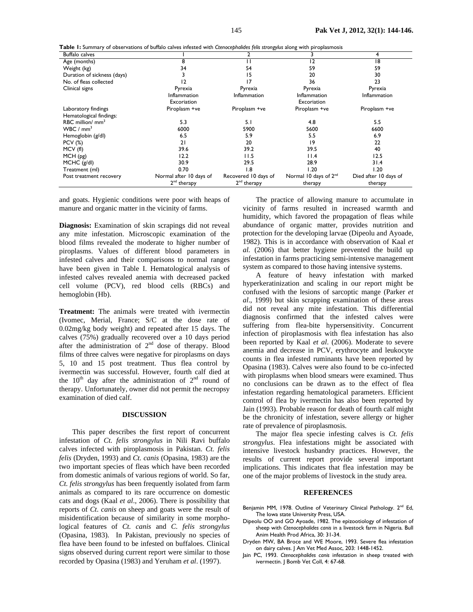**Table 1:** Summary of observations of buffalo calves infested with *Ctenocephalides felis strongylus* along with piroplasmosis

| <b>Rabic 1.</b> Julianal f of Observations of Dunalo Carves infested with etchocophonees feasturity along with phoplasmosis<br><b>Buffalo calves</b> |                         |                         |                                   | 4                     |
|------------------------------------------------------------------------------------------------------------------------------------------------------|-------------------------|-------------------------|-----------------------------------|-----------------------|
| Age (months)                                                                                                                                         | 8                       |                         | 2                                 | 18                    |
| Weight (kg)                                                                                                                                          | 34                      | 54                      | 59                                | 59                    |
| Duration of sickness (days)                                                                                                                          |                         | 15                      | 20                                | 30                    |
| No. of fleas collected                                                                                                                               | ۱2                      | 17                      | 36                                | 23                    |
| Clinical signs                                                                                                                                       | Pyrexia                 | Pyrexia                 | Pyrexia                           | Pyrexia               |
|                                                                                                                                                      | Inflammation            | Inflammation            | Inflammation                      | Inflammation          |
|                                                                                                                                                      | Excoriation             |                         | Excoriation                       |                       |
| Laboratory findings                                                                                                                                  | Piroplasm +ve           | Piroplasm +ve           | Piroplasm +ve                     | Piroplasm +ve         |
| Hematological findings:                                                                                                                              |                         |                         |                                   |                       |
| RBC million/ $mm3$                                                                                                                                   | 5.3                     | 5.1                     | 4.8                               | 5.5                   |
| WBC/mm <sup>3</sup>                                                                                                                                  | 6000                    | 5900                    | 5600                              | 6600                  |
| Hemoglobin (g/dl)                                                                                                                                    | 6.5                     | 5.9                     | 5.5                               | 6.9                   |
| <b>PCV</b> (%)                                                                                                                                       | 21                      | 20                      | 19                                | 22                    |
| MCV (fl)                                                                                                                                             | 39.6                    | 39.2                    | 39.5                              | 40                    |
| MCH (pg)                                                                                                                                             | 12.2                    | 11.5                    | 11.4                              | 12.5                  |
| MCHC (g/dl)                                                                                                                                          | 30.9                    | 29.5                    | 28.9                              | 31.4                  |
| Treatment (ml)                                                                                                                                       | 0.70                    | 1.8                     | 1.20                              | 1.20                  |
| Post treatment recovery                                                                                                                              | Normal after 10 days of | Recovered 10 days of    | Normal 10 days of 2 <sup>nd</sup> | Died after 10 days of |
|                                                                                                                                                      | 2 <sup>nd</sup> therapy | 2 <sup>nd</sup> therapy | therapy                           | therapy               |

and goats. Hygienic conditions were poor with heaps of manure and organic matter in the vicinity of farms.

**Diagnosis:** Examination of skin scrapings did not reveal any mite infestation. Microscopic examination of the blood films revealed the moderate to higher number of piroplasms. Values of different blood parameters in infested calves and their comparisons to normal ranges have been given in Table I. Hematological analysis of infested calves revealed anemia with decreased packed cell volume (PCV), red blood cells (RBCs) and hemoglobin (Hb).

**Treatment:** The animals were treated with ivermectin (Ivomec, Merial, France; S/C at the dose rate of 0.02mg/kg body weight) and repeated after 15 days. The calves (75%) gradually recovered over a 10 days period after the administration of  $2<sup>nd</sup>$  dose of therapy. Blood films of three calves were negative for piroplasms on days 5, 10 and 15 post treatment. Thus flea control by ivermectin was successful. However, fourth calf died at the  $10^{th}$  day after the administration of  $2^{nd}$  round of therapy. Unfortunately, owner did not permit the necropsy examination of died calf.

### **DISCUSSION**

This paper describes the first report of concurrent infestation of *Ct. felis strongylus* in Nili Ravi buffalo calves infected with piroplasmosis in Pakistan. *Ct. felis felis* (Dryden, 1993) and *Ct. canis* (Opasina, 1983) are the two important species of fleas which have been recorded from domestic animals of various regions of world. So far, *Ct. felis strongylus* has been frequently isolated from farm animals as compared to its rare occurrence on domestic cats and dogs (Kaal *et al*., 2006). There is possibility that reports of *Ct. canis* on sheep and goats were the result of misidentification because of similarity in some morphological features of *Ct. canis* and *C. felis strongylus*  (Opasina, 1983). In Pakistan, previously no species of flea have been found to be infested on buffaloes. Clinical signs observed during current report were similar to those recorded by Opasina (1983) and Yeruham *et al*. (1997).

The practice of allowing manure to accumulate in vicinity of farms resulted in increased warmth and humidity, which favored the propagation of fleas while abundance of organic matter, provides nutrition and protection for the developing larvae (Dipeolu and Ayoade, 1982). This is in accordance with observation of Kaal *et al.* (2006) that better hygiene prevented the build up infestation in farms practicing semi-intensive management system as compared to those having intensive systems.

A feature of heavy infestation with marked hyperkeratinization and scaling in our report might be confused with the lesions of sarcoptic mange (Parker *et al*., 1999) but skin scrapping examination of these areas did not reveal any mite infestation. This differential diagnosis confirmed that the infested calves were suffering from flea-bite hypersensitivity. Concurrent infection of piroplasmosis with flea infestation has also been reported by Kaal *et al*. (2006). Moderate to severe anemia and decrease in PCV, erythrocyte and leukocyte counts in flea infested ruminants have been reported by Opasina (1983). Calves were also found to be co-infected with piroplasms when blood smears were examined. Thus no conclusions can be drawn as to the effect of flea infestation regarding hematological parameters. Efficient control of flea by ivermectin has also been reported by Jain (1993). Probable reason for death of fourth calf might be the chronicity of infestation, severe allergy or higher rate of prevalence of piroplasmosis.

The major flea specie infesting calves is *Ct. felis strongylus*. Flea infestations might be associated with intensive livestock husbandry practices. However, the results of current report provide several important implications. This indicates that flea infestation may be one of the major problems of livestock in the study area.

### **REFERENCES**

- Benjamin MM, 1978. Outline of Veterinary Clinical Pathology. 2<sup>nd</sup> Ed, The Iowa state University Press, USA.
- Dipeolu OO and GO Ayoade, 1982. The epizootiology of infestation of sheep with *Ctenocephalides canis* in a livestock farm in Nigeria. Bull Anim Health Prod Africa, 30: 31-34.
- Dryden MW, BA Broce and WE Moore, 1993. Severe flea infestation on dairy calves. J Am Vet Med Assoc, 203: 1448-1452.
- Jain PC, 1993. *Ctenocephalides canis* infestation in sheep treated with ivermectin. J Bomb Vet Coll, 4: 67-68.